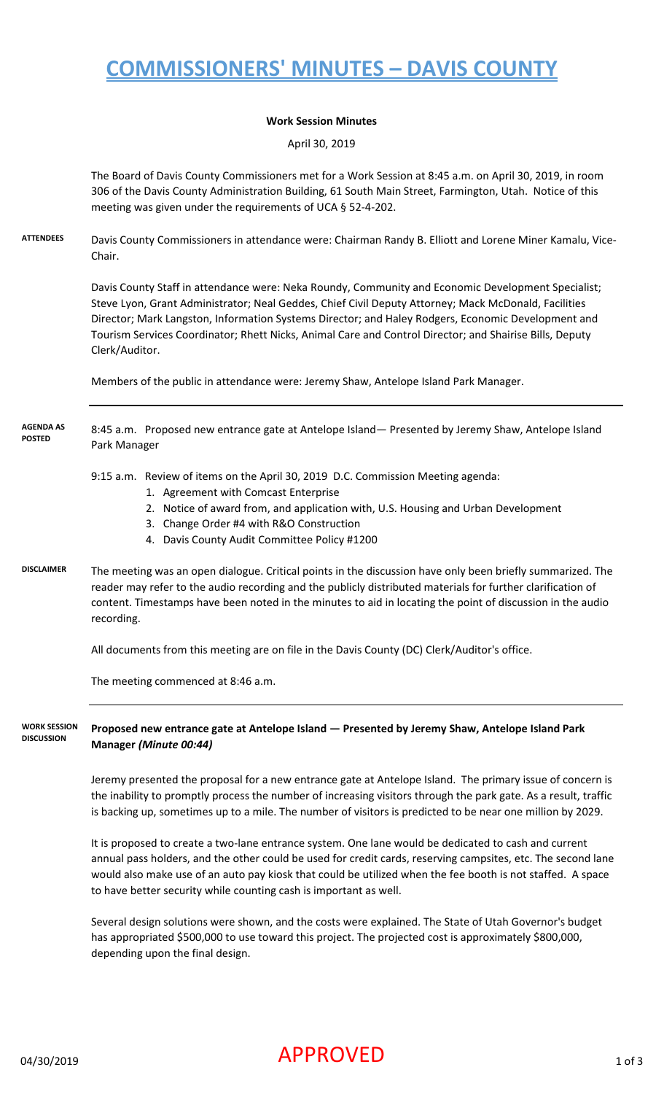# **COMMISSIONERS' MINUTES – DAVIS COUNTY**

#### **Work Session Minutes**

April 30, 2019

The Board of Davis County Commissioners met for a Work Session at 8:45 a.m. on April 30, 2019, in room 306 of the Davis County Administration Building, 61 South Main Street, Farmington, Utah. Notice of this meeting was given under the requirements of UCA § 52-4-202.

**ATTENDEES** Davis County Commissioners in attendance were: Chairman Randy B. Elliott and Lorene Miner Kamalu, Vice-Chair.

> Davis County Staff in attendance were: Neka Roundy, Community and Economic Development Specialist; Steve Lyon, Grant Administrator; Neal Geddes, Chief Civil Deputy Attorney; Mack McDonald, Facilities Director; Mark Langston, Information Systems Director; and Haley Rodgers, Economic Development and Tourism Services Coordinator; Rhett Nicks, Animal Care and Control Director; and Shairise Bills, Deputy Clerk/Auditor.

Members of the public in attendance were: Jeremy Shaw, Antelope Island Park Manager.

#### 8:45 a.m. Proposed new entrance gate at Antelope Island— Presented by Jeremy Shaw, Antelope Island Park Manager **AGENDA AS POSTED**

#### 9:15 a.m. Review of items on the April 30, 2019 D.C. Commission Meeting agenda:

- 1. Agreement with Comcast Enterprise
- 2. Notice of award from, and application with, U.S. Housing and Urban Development
- 3. Change Order #4 with R&O Construction
- 4. Davis County Audit Committee Policy #1200
- **DISCLAIMER** The meeting was an open dialogue. Critical points in the discussion have only been briefly summarized. The reader may refer to the audio recording and the publicly distributed materials for further clarification of content. Timestamps have been noted in the minutes to aid in locating the point of discussion in the audio recording.

All documents from this meeting are on file in the Davis County (DC) Clerk/Auditor's office.

The meeting commenced at 8:46 a.m.

**WORK SESSION DISCUSSION Proposed new entrance gate at Antelope Island — Presented by Jeremy Shaw, Antelope Island Park Manager** *(Minute 00:44)*

> Jeremy presented the proposal for a new entrance gate at Antelope Island. The primary issue of concern is the inability to promptly process the number of increasing visitors through the park gate. As a result, traffic is backing up, sometimes up to a mile. The number of visitors is predicted to be near one million by 2029.

> It is proposed to create a two-lane entrance system. One lane would be dedicated to cash and current annual pass holders, and the other could be used for credit cards, reserving campsites, etc. The second lane would also make use of an auto pay kiosk that could be utilized when the fee booth is not staffed. A space to have better security while counting cash is important as well.

Several design solutions were shown, and the costs were explained. The State of Utah Governor's budget has appropriated \$500,000 to use toward this project. The projected cost is approximately \$800,000, depending upon the final design.

# $04/30/2019$  and  $\blacksquare$   $\blacksquare$   $\blacksquare$   $\blacksquare$   $\blacksquare$   $\blacksquare$   $\blacksquare$   $\blacksquare$   $\blacksquare$   $\blacksquare$   $\blacksquare$   $\blacksquare$   $\blacksquare$   $\blacksquare$   $\blacksquare$   $\blacksquare$   $\blacksquare$   $\blacksquare$   $\blacksquare$   $\blacksquare$   $\blacksquare$   $\blacksquare$   $\blacksquare$   $\blacksquare$   $\blacksquare$   $\blacksquare$   $\blacksquare$   $\blacksquare$   $\blacksquare$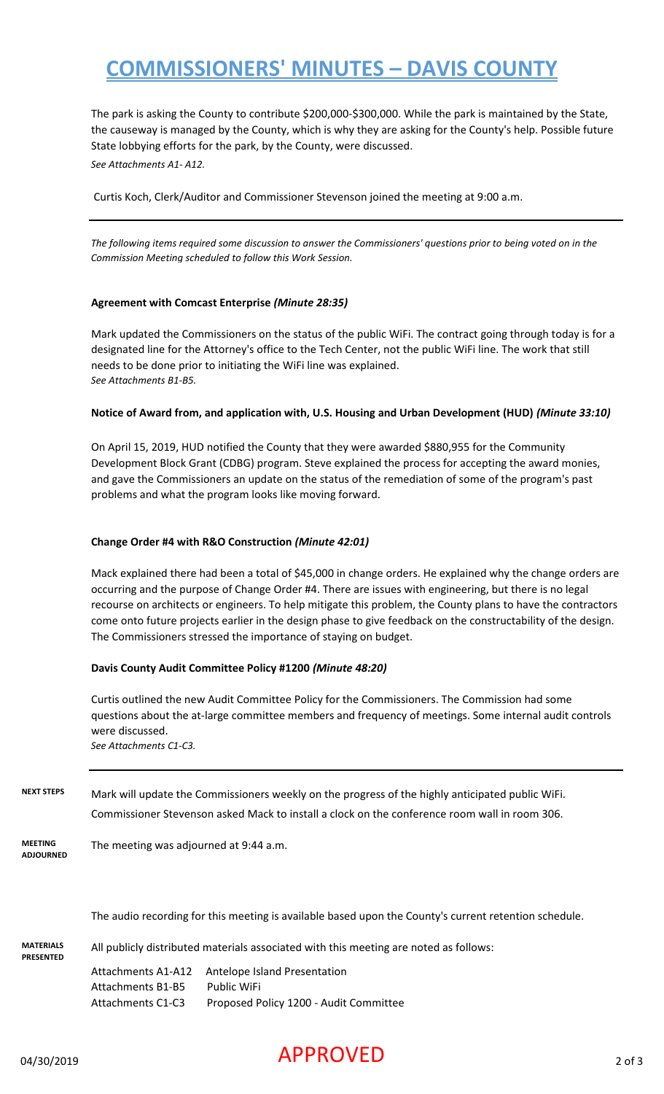# **COMMISSIONERS' MINUTES – DAVIS COUNTY**

The park is asking the County to contribute \$200,000-\$300,000. While the park is maintained by the State, the causeway is managed by the County, which is why they are asking for the County's help. Possible future State lobbying efforts for the park, by the County, were discussed.

*See Attachments A1- A12.*

Curtis Koch, Clerk/Auditor and Commissioner Stevenson joined the meeting at 9:00 a.m.

*The following items required some discussion to answer the Commissioners' questions prior to being voted on in the Commission Meeting scheduled to follow this Work Session.*

### **Agreement with Comcast Enterprise** *(Minute 28:35)*

Mark updated the Commissioners on the status of the public WiFi. The contract going through today is for a designated line for the Attorney's office to the Tech Center, not the public WiFi line. The work that still needs to be done prior to initiating the WiFi line was explained. *See Attachments B1-B5.*

#### **Notice of Award from, and application with, U.S. Housing and Urban Development (HUD)** *(Minute 33:10)*

On April 15, 2019, HUD notified the County that they were awarded \$880,955 for the Community Development Block Grant (CDBG) program. Steve explained the process for accepting the award monies, and gave the Commissioners an update on the status of the remediation of some of the program's past problems and what the program looks like moving forward.

### **Change Order #4 with R&O Construction** *(Minute 42:01)*

Mack explained there had been a total of \$45,000 in change orders. He explained why the change orders are occurring and the purpose of Change Order #4. There are issues with engineering, but there is no legal recourse on architects or engineers. To help mitigate this problem, the County plans to have the contractors come onto future projects earlier in the design phase to give feedback on the constructability of the design. The Commissioners stressed the importance of staying on budget.

#### **Davis County Audit Committee Policy #1200** *(Minute 48:20)*

Curtis outlined the new Audit Committee Policy for the Commissioners. The Commission had some questions about the at-large committee members and frequency of meetings. Some internal audit controls were discussed. *See Attachments C1-C3.*

**NEXT STEPS** Mark will update the Commissioners weekly on the progress of the highly anticipated public WiFi. Commissioner Stevenson asked Mack to install a clock on the conference room wall in room 306.

**MEETING ADJOURNED** The meeting was adjourned at 9:44 a.m.

The audio recording for this meeting is available based upon the County's current retention schedule.

**MATERIALS PRESENTED** All publicly distributed materials associated with this meeting are noted as follows: Attachments A1-A12 Antelope Island Presentation Attachments B1-B5 Public WiFi Attachments C1-C3 Proposed Policy 1200 - Audit Committee

## $04/30/2019$   $\blacksquare$   $\blacksquare$   $\blacksquare$   $\blacksquare$   $\blacksquare$   $\blacksquare$   $\blacksquare$   $\blacksquare$   $\blacksquare$   $\blacksquare$   $\blacksquare$   $\blacksquare$   $\blacksquare$   $\blacksquare$   $\blacksquare$   $\blacksquare$   $\blacksquare$   $\blacksquare$   $\blacksquare$   $\blacksquare$   $\blacksquare$   $\blacksquare$   $\blacksquare$   $\blacksquare$   $\blacksquare$   $\blacksquare$   $\blacksquare$   $\blacksquare$   $\blacksquare$   $\blacksquare$